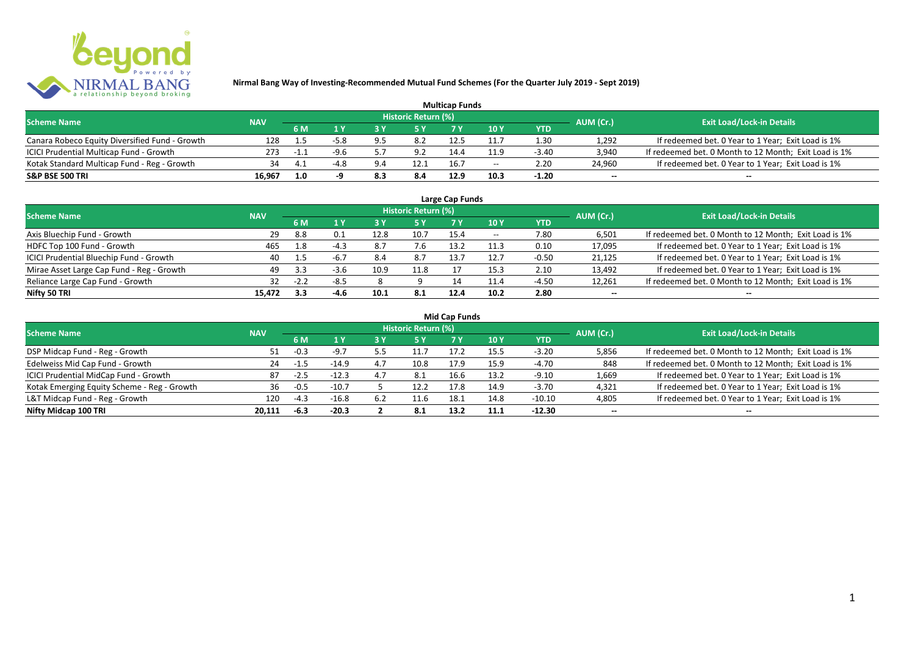

| <b>Multicap Funds</b>                          |            |     |        |     |                            |      |                          |         |                          |                                                       |  |  |
|------------------------------------------------|------------|-----|--------|-----|----------------------------|------|--------------------------|---------|--------------------------|-------------------------------------------------------|--|--|
| <b>Scheme Name</b>                             | <b>NAV</b> |     |        |     | <b>Historic Return (%)</b> |      |                          |         | AUM (Cr.)                | <b>Exit Load/Lock-in Details</b>                      |  |  |
|                                                |            | 6 M |        |     |                            |      | 10Y                      | YTD     |                          |                                                       |  |  |
| Canara Robeco Equity Diversified Fund - Growth | 128        |     | -5.8   |     | 8.2                        |      |                          | 1.30    | 1,292                    | If redeemed bet. 0 Year to 1 Year; Exit Load is 1%    |  |  |
| ICICI Prudential Multicap Fund - Growth        | 273        | -1. | $-9.6$ |     | 9.2                        | 14.4 | 11.9                     | $-3.40$ | 3,940                    | If redeemed bet. 0 Month to 12 Month; Exit Load is 1% |  |  |
| Kotak Standard Multicap Fund - Reg - Growth    | 34         |     |        |     | 12.1                       | 16.7 | $\overline{\phantom{a}}$ | 2.20    | 24,960                   | If redeemed bet. 0 Year to 1 Year; Exit Load is 1%    |  |  |
| S&P BSE 500 TRI                                | 16.967     | 1.0 |        | 8.3 | 8.4                        | 12.9 |                          | $-1.20$ | $\overline{\phantom{a}}$ | $\overline{\phantom{a}}$                              |  |  |

| Large Cap Funds<br>Historic Return (%)    |            |        |        |      |      |      |       |            |                          |                                                       |  |  |
|-------------------------------------------|------------|--------|--------|------|------|------|-------|------------|--------------------------|-------------------------------------------------------|--|--|
| <b>Scheme Name</b>                        | <b>NAV</b> | 6 M    | 1 Y    |      | 5 Y  |      | 10Y   | <b>YTD</b> | AUM (Cr.)                | <b>Exit Load/Lock-in Details</b>                      |  |  |
| Axis Bluechip Fund - Growth               | 29         | 8.8    | 0.1    | 12.8 | 10.7 | 15.4 | $- -$ | 7.80       | 6,501                    | If redeemed bet. 0 Month to 12 Month; Exit Load is 1% |  |  |
| HDFC Top 100 Fund - Growth                | 465        | 1.8    | $-4.3$ | 8.7  |      | 13.2 | 11.3  | 0.10       | 17,095                   | If redeemed bet. 0 Year to 1 Year; Exit Load is 1%    |  |  |
| ICICI Prudential Bluechip Fund - Growth   | 40         | 1.5    | $-6.7$ | 8.4  | 8.7  | 13.7 | 12.7  | $-0.50$    | 21,125                   | If redeemed bet. 0 Year to 1 Year; Exit Load is 1%    |  |  |
| Mirae Asset Large Cap Fund - Reg - Growth | 49         | 3.3    | $-3.6$ | 10.9 | 11.8 |      | 15.3  | 2.10       | 13,492                   | If redeemed bet. 0 Year to 1 Year; Exit Load is 1%    |  |  |
| Reliance Large Cap Fund - Growth          |            | $-2.2$ | $-8.5$ |      |      | 14   | 11.4  | $-4.50$    | 12,261                   | If redeemed bet. 0 Month to 12 Month; Exit Load is 1% |  |  |
| Nifty 50 TRI                              | 15.472     | 3.3    | $-4.6$ | 10.1 | -8.1 | 12.4 | 10.2  | 2.80       | $\overline{\phantom{a}}$ | $\overline{\phantom{a}}$                              |  |  |

| <b>Mid Cap Funds</b> |  |
|----------------------|--|
|----------------------|--|

| <b>Scheme Name</b>                          | <b>NAV</b> |        |         |     | Historic Return (%) |      |      |            | AUM (Cr.)                | <b>Exit Load/Lock-in Details</b>                      |
|---------------------------------------------|------------|--------|---------|-----|---------------------|------|------|------------|--------------------------|-------------------------------------------------------|
|                                             |            | 6 M    | 1 Y     | 3 Y | 5 Y                 |      | 10 Y | <b>YTD</b> |                          |                                                       |
| DSP Midcap Fund - Reg - Growth              | 51         | $-0.3$ | $-9.7$  |     |                     | 17.2 | 15.5 | $-3.20$    | 5,856                    | If redeemed bet. 0 Month to 12 Month; Exit Load is 1% |
| Edelweiss Mid Cap Fund - Growth             | 24         | $-1.5$ | $-14.9$ | 4.7 | 10.8                | 17.9 | 15.9 | $-4.70$    | 848                      | If redeemed bet. 0 Month to 12 Month; Exit Load is 1% |
| ICICI Prudential MidCap Fund - Growth       | 87         | $-2.5$ | $-12.3$ | 4.7 | 8.1                 | 16.6 | 13.2 | $-9.10$    | 1,669                    | If redeemed bet. 0 Year to 1 Year; Exit Load is 1%    |
| Kotak Emerging Equity Scheme - Reg - Growth | 36         | $-0.5$ | $-10.7$ |     | 12.2                | 17.8 | 14.9 | $-3.70$    | 4,321                    | If redeemed bet. 0 Year to 1 Year; Exit Load is 1%    |
| L&T Midcap Fund - Reg - Growth              | 120        | $-4.3$ | $-16.8$ | 6.2 | 11.6                |      | 14.8 | $-10.10$   | 4,805                    | If redeemed bet. 0 Year to 1 Year; Exit Load is 1%    |
| Nifty Midcap 100 TRI                        | 20.111     | -6.3   | $-20.3$ |     | 8.1                 | 13.2 | 11.1 | $-12.30$   | $\overline{\phantom{a}}$ | $\qquad \qquad$                                       |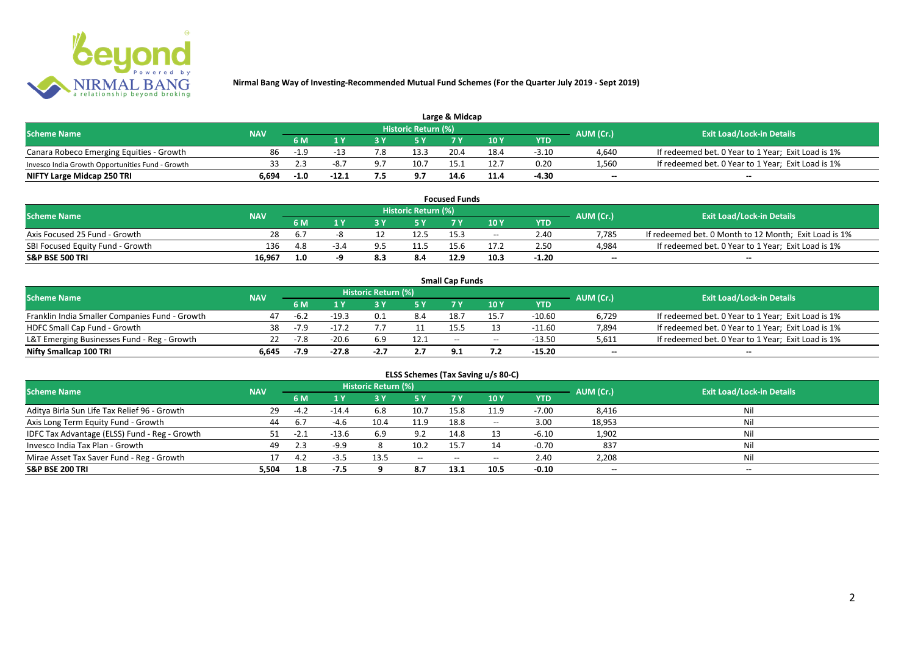

| Large & Midcap                                   |            |        |         |     |                     |      |      |         |           |                                                    |  |  |
|--------------------------------------------------|------------|--------|---------|-----|---------------------|------|------|---------|-----------|----------------------------------------------------|--|--|
| <b>Scheme Name</b>                               | <b>NAV</b> |        |         |     | Historic Return (%) |      |      |         | AUM (Cr.) | <b>Exit Load/Lock-in Details</b>                   |  |  |
|                                                  |            | 6 M    |         |     |                     |      | 10Y  | YTD     |           |                                                    |  |  |
| Canara Robeco Emerging Equities - Growth         | 86         | $-1.9$ |         | 7.8 | 13.3                | 20.4 | 18.4 | $-3.10$ | 4.640     | If redeemed bet. 0 Year to 1 Year; Exit Load is 1% |  |  |
| Invesco India Growth Opportunities Fund - Growth |            |        | -8.1    |     | 10.7                | 15.1 |      | 0.20    | 1,560     | If redeemed bet. 0 Year to 1 Year; Exit Load is 1% |  |  |
| NIFTY Large Midcap 250 TRI                       | 6.694      | $-1.0$ | $-12.1$ |     | 9.7                 | 14.6 |      | -4.30   | $-$       | $- -$                                              |  |  |

|                                  |            |      |      |                     | <b>Focused Funds</b> |       |            |                          |                                                       |
|----------------------------------|------------|------|------|---------------------|----------------------|-------|------------|--------------------------|-------------------------------------------------------|
| <b>Scheme Name</b>               | <b>NAV</b> |      |      | Historic Return (%) |                      |       |            | AUM (Cr.)                | <b>Exit Load/Lock-in Details</b>                      |
|                                  |            | 6 M  |      | <b>EV</b>           |                      | 10 Y  | <b>YTD</b> |                          |                                                       |
| Axis Focused 25 Fund - Growth    | 28         | -6.7 |      | 12.5                | 15.3                 | $- -$ | 2.40       | 7.785                    | If redeemed bet. 0 Month to 12 Month; Exit Load is 1% |
| SBI Focused Equity Fund - Growth | 136        | 4.8  | -3.4 | 11.5                | 15.b                 |       | 2.50       | 4,984                    | If redeemed bet. 0 Year to 1 Year; Exit Load is 1%    |
| S&P BSE 500 TRI                  | 16.967     | 1.0  |      | 8.4                 | 12.9                 | 10.3  | -1.20      | $\overline{\phantom{a}}$ | $- -$                                                 |

|                                                |            |        |         |                     |      | <b>Small Cap Funds</b> |                                       |          |                          |                                                    |
|------------------------------------------------|------------|--------|---------|---------------------|------|------------------------|---------------------------------------|----------|--------------------------|----------------------------------------------------|
| <b>Scheme Name</b>                             | <b>NAV</b> |        |         | Historic Return (%) |      |                        |                                       |          | AUM (Cr.)                | <b>Exit Load/Lock-in Details</b>                   |
|                                                |            | 6 M    |         |                     |      |                        | 10 Y                                  | YTD      |                          |                                                    |
| Franklin India Smaller Companies Fund - Growth | 47         | $-6.2$ | $-19.3$ |                     | 8.4  | 18.7                   |                                       | $-10.60$ | 6,729                    | If redeemed bet. 0 Year to 1 Year; Exit Load is 1% |
| HDFC Small Cap Fund - Growth                   | 38         | $-7.9$ | $-17.2$ |                     |      | 15.5                   |                                       | $-11.60$ | 7,894                    | If redeemed bet. 0 Year to 1 Year; Exit Load is 1% |
| L&T Emerging Businesses Fund - Reg - Growth    | 22         | $-7.8$ | $-20.6$ | 6.9                 | 12.1 | $-$                    | $\hspace{0.05cm}$ – $\hspace{0.05cm}$ | $-13.50$ | 5,611                    | If redeemed bet. 0 Year to 1 Year; Exit Load is 1% |
| Nifty Smallcap 100 TRI                         | 6.645      | -7.9   | $-27.8$ | $-2.7$              | 2.7  | <b>91</b>              |                                       | -15.20   | $\overline{\phantom{a}}$ | $-$                                                |

|                                               |            |        |         |                     |       |           | ELSS Schemes (Tax Saving u/s 80-C)    |            |                          |                                  |
|-----------------------------------------------|------------|--------|---------|---------------------|-------|-----------|---------------------------------------|------------|--------------------------|----------------------------------|
| <b>Scheme Name</b>                            | <b>NAV</b> |        |         | Historic Return (%) |       |           |                                       |            | AUM (Cr.)                | <b>Exit Load/Lock-in Details</b> |
|                                               |            | 6 M    | 4 V     | 3 Y                 | 75 Y  | <b>7Y</b> | <b>10 Y</b>                           | <b>YTD</b> |                          |                                  |
| Aditya Birla Sun Life Tax Relief 96 - Growth  | 29         | $-4.2$ | $-14.4$ | 6.8                 | 10.7  | 15.8      | 11.9                                  | $-7.00$    | 8,416                    | Nil                              |
| Axis Long Term Equity Fund - Growth           | 44         | 6.7    | $-4.6$  | 10.4                | 11.9  | 18.8      | $\hspace{0.05cm}$ – $\hspace{0.05cm}$ | 3.00       | 18,953                   | Nil                              |
| IDFC Tax Advantage (ELSS) Fund - Reg - Growth |            | -2.1   | $-13.6$ | 6.9                 | 9.2   | 14.8      |                                       | $-6.10$    | 1,902                    | Nil                              |
| Invesco India Tax Plan - Growth               | 49         | 2.3    | $-9.9$  |                     | 10.2  | 15.7      |                                       | $-0.70$    | 837                      | Nil                              |
| Mirae Asset Tax Saver Fund - Reg - Growth     |            | 4.2    |         | 13.5                | $- -$ | $- -$     | $- -$                                 | 2.40       | 2,208                    | Nil                              |
| S&P BSE 200 TRI                               | 5,504      | 1.8    | $-7.5$  |                     | 8.7   | 13.1      | 10.5                                  | $-0.10$    | $\overline{\phantom{a}}$ | $\overline{\phantom{a}}$         |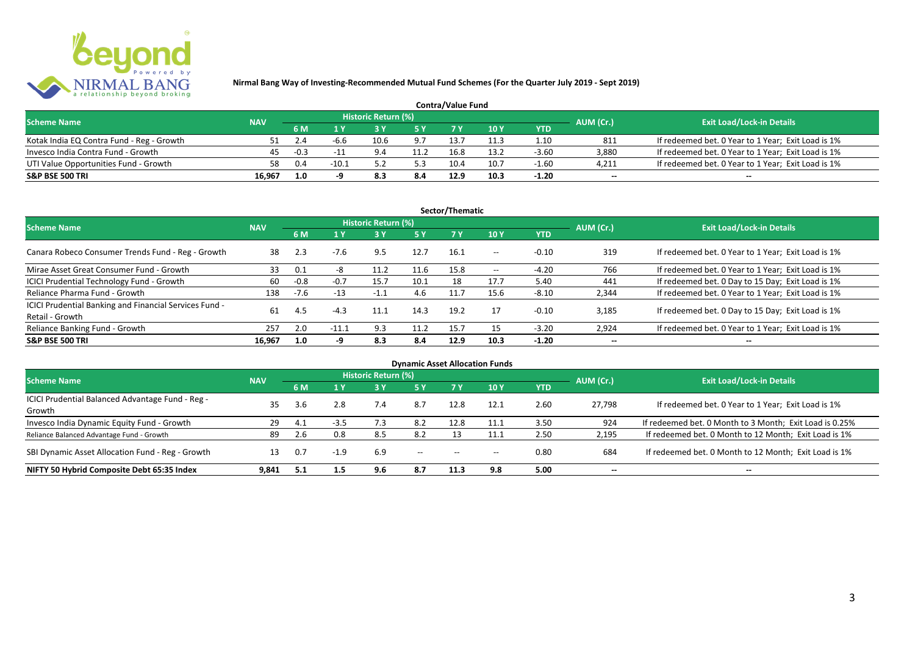

| <b>Contra/Value Fund</b>                  |            |        |         |                     |      |      |      |         |           |                                                    |  |  |
|-------------------------------------------|------------|--------|---------|---------------------|------|------|------|---------|-----------|----------------------------------------------------|--|--|
| <b>Scheme Name</b>                        | <b>NAV</b> |        |         | Historic Return (%) |      |      |      |         | AUM (Cr.) | <b>Exit Load/Lock-in Details</b>                   |  |  |
|                                           |            | 6 M    |         |                     |      |      | 10Y  | YTD     |           |                                                    |  |  |
| Kotak India EQ Contra Fund - Reg - Growth |            |        | -h.h    | 10.6                | 9.7  | 13.7 |      | 1.10    | 811       | If redeemed bet. 0 Year to 1 Year; Exit Load is 1% |  |  |
| Invesco India Contra Fund - Growth        | 45         | $-0.3$ | $-1$    |                     | 11.2 | 16.8 | 13.2 | $-3.60$ | 3.880     | If redeemed bet. 0 Year to 1 Year; Exit Load is 1% |  |  |
| UTI Value Opportunities Fund - Growth     | 58         | 0.4    | $-10.1$ |                     |      | 10.4 | 10.7 | $-1.60$ | 4,211     | If redeemed bet. 0 Year to 1 Year; Exit Load is 1% |  |  |
| <b>S&amp;P BSE 500 TRI</b>                | 16.967     | 1.0    |         |                     | 8.4  | 12.9 | 10.3 | $-1.20$ | $\sim$    | $\qquad \qquad$                                    |  |  |

|                                                                           |            |        |         |                     |           | Sector/Thematic |                   |            |                          |                                                    |
|---------------------------------------------------------------------------|------------|--------|---------|---------------------|-----------|-----------------|-------------------|------------|--------------------------|----------------------------------------------------|
| <b>Scheme Name</b>                                                        | <b>NAV</b> |        |         | Historic Return (%) |           |                 |                   |            | AUM (Cr.)                | <b>Exit Load/Lock-in Details</b>                   |
|                                                                           |            | 6 M    | 1 Y     |                     | <b>5Y</b> | <b>7Y</b>       | 10Y               | <b>YTD</b> |                          |                                                    |
| Canara Robeco Consumer Trends Fund - Reg - Growth                         | 38         | 2.3    | $-7.6$  | 9.5                 | 12.7      | 16.1            | $- -$             | $-0.10$    | 319                      | If redeemed bet. 0 Year to 1 Year; Exit Load is 1% |
| Mirae Asset Great Consumer Fund - Growth                                  | 33         | 0.1    | -8      | 11.2                | 11.6      | 15.8            | $\hspace{0.05cm}$ | $-4.20$    | 766                      | If redeemed bet. 0 Year to 1 Year; Exit Load is 1% |
| ICICI Prudential Technology Fund - Growth                                 | 60         | $-0.8$ | $-0.7$  | 15.7                | 10.1      | 18              | 17.7              | 5.40       | 441                      | If redeemed bet. 0 Day to 15 Day; Exit Load is 1%  |
| Reliance Pharma Fund - Growth                                             | 138        | $-7.6$ | $-13$   | $-1.1$              | 4.6       | 11.7            | 15.6              | $-8.10$    | 2,344                    | If redeemed bet. 0 Year to 1 Year; Exit Load is 1% |
| ICICI Prudential Banking and Financial Services Fund -<br>Retail - Growth | 61         | 4.5    | $-4.3$  | 11.1                | 14.3      | 19.2            | 17                | $-0.10$    | 3.185                    | If redeemed bet. 0 Day to 15 Day; Exit Load is 1%  |
| Reliance Banking Fund - Growth                                            | 257        | 2.0    | $-11.1$ | 9.3                 | 11.2      | 15.7            | 15                | $-3.20$    | 2,924                    | If redeemed bet. 0 Year to 1 Year; Exit Load is 1% |
| <b>S&amp;P BSE 500 TRI</b>                                                | 16.967     | 1.0    | -9      | 8.3                 | 8.4       | 12.9            | 10.3              | $-1.20$    | $\overline{\phantom{a}}$ | $- -$                                              |

|                                                  |            |      |        |                            |                          |                                       | <b>Dynamic Asset Allocation Funds</b> |            |                          |                                                         |
|--------------------------------------------------|------------|------|--------|----------------------------|--------------------------|---------------------------------------|---------------------------------------|------------|--------------------------|---------------------------------------------------------|
| Scheme Name                                      | <b>NAV</b> |      |        | <b>Historic Return (%)</b> |                          |                                       |                                       |            | AUM (Cr.)                | <b>Exit Load/Lock-in Details</b>                        |
|                                                  |            | 6 M  | 1 Y    | 73 V.                      | 5 Y                      |                                       | 10Y                                   | <b>YTD</b> |                          |                                                         |
| ICICI Prudential Balanced Advantage Fund - Reg - | 35         |      |        |                            |                          |                                       |                                       | 2.60       |                          |                                                         |
| Growth                                           |            | 3.6  | 2.8    | 7.4                        | 8.7                      | 12.8                                  | 12.1                                  |            | 27.798                   | If redeemed bet. 0 Year to 1 Year; Exit Load is 1%      |
| Invesco India Dynamic Equity Fund - Growth       | 29         | -4.1 | -3.5   | 7.3                        | 8.2                      | 12.8                                  | ┸┸╍┺                                  | 3.50       | 924                      | If redeemed bet. 0 Month to 3 Month; Exit Load is 0.25% |
| Reliance Balanced Advantage Fund - Growth        | 89         | 2.6  | 0.8    | 8.5                        | 8.2                      |                                       | 11.1                                  | 2.50       | 2,195                    | If redeemed bet. 0 Month to 12 Month; Exit Load is 1%   |
| SBI Dynamic Asset Allocation Fund - Reg - Growth |            | 0.7  | $-1.9$ | 6.9                        | $\overline{\phantom{a}}$ | $\hspace{0.05cm}$ – $\hspace{0.05cm}$ | $- -$                                 | 0.80       | 684                      | If redeemed bet. 0 Month to 12 Month; Exit Load is 1%   |
| NIFTY 50 Hybrid Composite Debt 65:35 Index       | 9,841      | 5.1  | 1.5    | 9.6                        | 8.7                      | 11.3                                  | 9.8                                   | 5.00       | $\overline{\phantom{a}}$ | $- -$                                                   |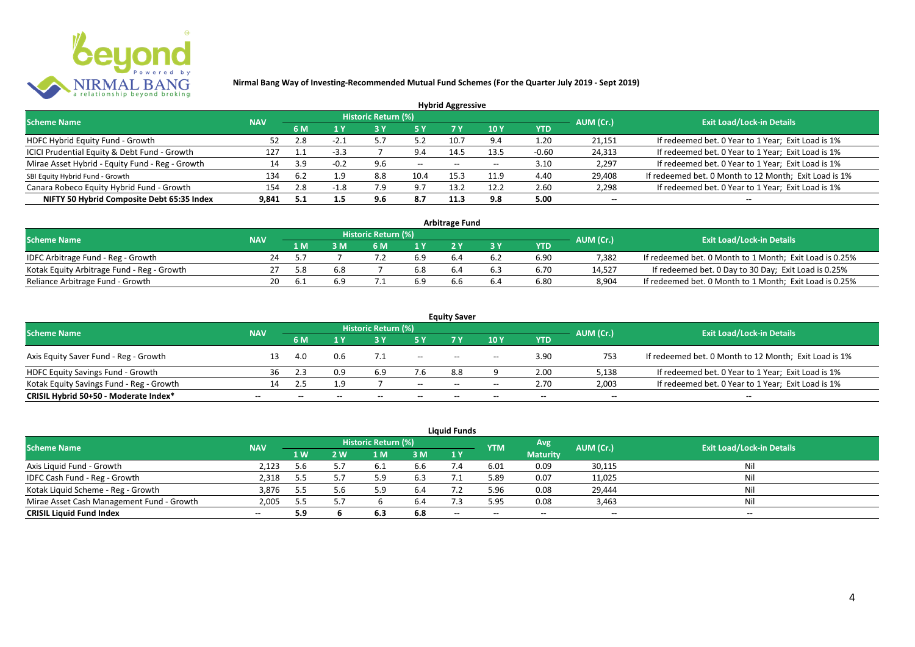

|                                                 |            |     |        |                            |           | <b>Hybrid Aggressive</b> |                          |            |                          |                                                       |
|-------------------------------------------------|------------|-----|--------|----------------------------|-----------|--------------------------|--------------------------|------------|--------------------------|-------------------------------------------------------|
| <b>Scheme Name</b>                              | <b>NAV</b> |     |        | <b>Historic Return (%)</b> |           |                          |                          |            | AUM (Cr.)                | <b>Exit Load/Lock-in Details</b>                      |
|                                                 |            | 6 M | 1 Y    |                            | <b>5Y</b> | 7 Y                      | 10Y                      | <b>YTD</b> |                          |                                                       |
| HDFC Hybrid Equity Fund - Growth                |            | 2.8 | $-2.1$ |                            | 5.2       | 10.7                     | 9.4                      | 1.20       | 21,151                   | If redeemed bet. 0 Year to 1 Year; Exit Load is 1%    |
| ICICI Prudential Equity & Debt Fund - Growth    | 127        |     | $-3.3$ |                            | 9.4       | 14.5                     | 13.5                     | $-0.60$    | 24,313                   | If redeemed bet. 0 Year to 1 Year; Exit Load is 1%    |
| Mirae Asset Hybrid - Equity Fund - Reg - Growth | 14         | 3.9 | $-0.2$ | 9.6                        | $--$      | $- -$                    | $\overline{\phantom{a}}$ | 3.10       | 2,297                    | If redeemed bet. 0 Year to 1 Year; Exit Load is 1%    |
| SBI Equity Hybrid Fund - Growth                 | 134        |     | 1.9    | 8.8                        | 10.4      | 15.                      | 11.9                     | 4.40       | 29,408                   | If redeemed bet. 0 Month to 12 Month; Exit Load is 1% |
| Canara Robeco Equity Hybrid Fund - Growth       | 154        | 2.8 | $-1.8$ | '.9                        | 9.7       | 13.2                     | 12.2                     | 2.60       | 2,298                    | If redeemed bet. 0 Year to 1 Year; Exit Load is 1%    |
| NIFTY 50 Hybrid Composite Debt 65:35 Index      | 9.841      | 5.1 | 1.5    | 9.6                        | 8.7       | 11.3                     | 9.8                      | 5.00       | $\overline{\phantom{a}}$ | $\overline{\phantom{a}}$                              |

|                                            |            |     |     |                            |     | <b>Arbitrage Fund</b> |     |            |           |                                                         |
|--------------------------------------------|------------|-----|-----|----------------------------|-----|-----------------------|-----|------------|-----------|---------------------------------------------------------|
| <b>Scheme Name</b>                         | <b>NAV</b> |     |     | <b>Historic Return (%)</b> |     |                       |     |            | AUM (Cr.) | <b>Exit Load/Lock-in Details</b>                        |
|                                            |            | 1 M |     | 6 M                        |     |                       |     | <b>YTD</b> |           |                                                         |
| IDFC Arbitrage Fund - Reg - Growth         | 24         |     |     |                            | 6.9 |                       |     | 6.90       | 7.382     | If redeemed bet. 0 Month to 1 Month; Exit Load is 0.25% |
| Kotak Equity Arbitrage Fund - Reg - Growth |            | 5.8 | 6.8 |                            | 6.8 | b.4                   | b.3 | 6.70       | 14,527    | If redeemed bet. 0 Day to 30 Day; Exit Load is 0.25%    |
| Reliance Arbitrage Fund - Growth           | 20         |     |     |                            | 6.9 |                       | 6.4 | 6.80       | 8.904     | If redeemed bet. 0 Month to 1 Month; Exit Load is 0.25% |

|                                          |                          |     |                          |                            |                          | <b>Equity Saver</b> |       |                          |                          |                                                       |
|------------------------------------------|--------------------------|-----|--------------------------|----------------------------|--------------------------|---------------------|-------|--------------------------|--------------------------|-------------------------------------------------------|
| <b>Scheme Name</b>                       | <b>NAV</b>               |     |                          | <b>Historic Return (%)</b> |                          |                     |       |                          | AUM (Cr.)                | <b>Exit Load/Lock-in Details</b>                      |
|                                          |                          | 6 M |                          |                            |                          |                     | 10 Y  | <b>YTD</b>               |                          |                                                       |
| Axis Equity Saver Fund - Reg - Growth    |                          | 4.0 | 0.6                      |                            | $\overline{\phantom{a}}$ | $- -$               | $- -$ | 3.90                     | 753                      | If redeemed bet. 0 Month to 12 Month; Exit Load is 1% |
| HDFC Equity Savings Fund - Growth        | 36                       | 2.3 | 0.9                      |                            | 7.6                      | 8.8                 |       | 2.00                     | 5,138                    | If redeemed bet. 0 Year to 1 Year; Exit Load is 1%    |
| Kotak Equity Savings Fund - Reg - Growth | 14.                      | 2.5 | 1.9                      |                            | $- -$                    | $- -$               | $- -$ | 2.70                     | 2.003                    | If redeemed bet. 0 Year to 1 Year; Exit Load is 1%    |
| CRISIL Hybrid 50+50 - Moderate Index*    | $\overline{\phantom{a}}$ | $-$ | $\overline{\phantom{a}}$ | --                         | $\overline{\phantom{a}}$ | $- -$               | $- -$ | $\overline{\phantom{a}}$ | $\overline{\phantom{a}}$ | $- -$                                                 |

|                                           |            |      |     |                     |      | <b>Liquid Funds</b> |            |                 |           |                                  |
|-------------------------------------------|------------|------|-----|---------------------|------|---------------------|------------|-----------------|-----------|----------------------------------|
| <b>Scheme Name</b>                        | <b>NAV</b> |      |     | Historic Return (%) |      |                     | <b>YTM</b> | Avg             | AUM (Cr.) | <b>Exit Load/Lock-in Details</b> |
|                                           |            | 1 W. | 2 W | 1 M                 | 3 M  | 1Y                  |            | <b>Maturity</b> |           |                                  |
| Axis Liquid Fund - Growth                 | 2,123      | 5.6  |     |                     | 6.6  |                     | 6.01       | 0.09            | 30,115    | Nil                              |
| IDFC Cash Fund - Reg - Growth             | 2,318      | 5.5  |     |                     | 6.3  |                     | 5.89       | 0.07            | 11,025    | Nil                              |
| Kotak Liquid Scheme - Reg - Growth        | 3,876      | 5.5  | 5.6 | 9.د                 | -6.4 |                     | 5.96       | 0.08            | 29,444    | Nil                              |
| Mirae Asset Cash Management Fund - Growth | 2,005      | 5.5  |     |                     | 6.4  |                     | 5.95       | 0.08            | 3,463     | Nil                              |
| <b>CRISIL Liquid Fund Index</b>           | $\sim$     | 5.9  |     | 6.3                 | 6.8  | $- -$               | $- -$      | $- -$           | --        | $- -$                            |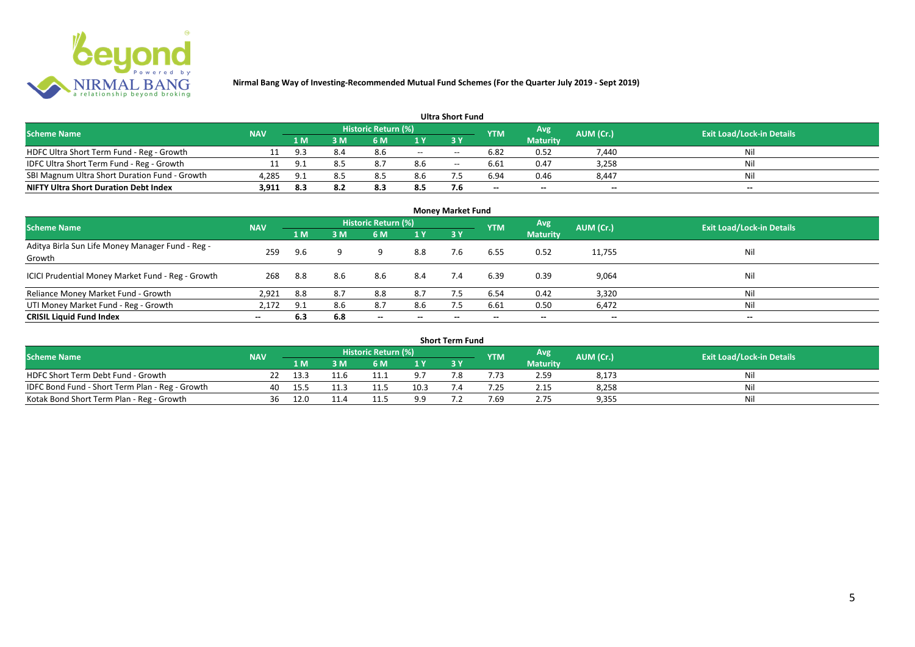

|                                               |            |      |     |                     |     | <b>Ultra Short Fund</b> |            |                 |                          |                                  |
|-----------------------------------------------|------------|------|-----|---------------------|-----|-------------------------|------------|-----------------|--------------------------|----------------------------------|
| <b>Scheme Name</b>                            | <b>NAV</b> |      |     | Historic Return (%) |     |                         | <b>YTM</b> | Avg             | AUM (Cr.)                | <b>Exit Load/Lock-in Details</b> |
|                                               |            | 1 M  | sм  | 6 M                 |     | <b>3 Y</b>              |            | <b>Maturity</b> |                          |                                  |
| HDFC Ultra Short Term Fund - Reg - Growth     |            |      | 8.4 | 8.6                 | $-$ | $- -$                   | 6.82       | 0.52            | 7.440                    | Nil                              |
| IDFC Ultra Short Term Fund - Reg - Growth     | 11         |      | 8.5 | 8.7                 | 8.6 | $- -$                   | 6.61       | 0.47            | 3,258                    | Nil                              |
| SBI Magnum Ultra Short Duration Fund - Growth | 4,285      | -9.1 | 8.5 |                     | 8.6 |                         | 6.94       | 0.46            | 8,447                    | Nil                              |
| <b>NIFTY Ultra Short Duration Debt Index</b>  | 3,911      | 8.3  |     | 8.3                 | 8.5 | 7.6                     | $- -$      | --              | $\overline{\phantom{a}}$ | $\overline{\phantom{a}}$         |

| <b>Money Market Fund</b>                                   |            |     |     |                            |                          |           |            |                 |                          |                                  |  |  |
|------------------------------------------------------------|------------|-----|-----|----------------------------|--------------------------|-----------|------------|-----------------|--------------------------|----------------------------------|--|--|
| <b>Scheme Name</b>                                         | <b>NAV</b> |     |     | <b>Historic Return (%)</b> |                          |           | <b>YTM</b> | Avg             | AUM (Cr.)                | <b>Exit Load/Lock-in Details</b> |  |  |
|                                                            |            | 1 M | 3M  | 6 M                        | 1Y                       | <b>3Y</b> |            | <b>Maturity</b> |                          |                                  |  |  |
| Aditya Birla Sun Life Money Manager Fund - Reg -<br>Growth | 259        | 9.6 |     |                            | 8.8                      | 7.6       | 6.55       | 0.52            | 11,755                   | Nil                              |  |  |
| ICICI Prudential Money Market Fund - Reg - Growth          | 268        | 8.8 | 8.6 | 8.6                        | 8.4                      | 7.4       | 6.39       | 0.39            | 9,064                    | Nil                              |  |  |
| Reliance Money Market Fund - Growth                        | 2,921      | 8.8 | 8.7 | 8.8                        | 8.7                      |           | 6.54       | 0.42            | 3,320                    | Nil                              |  |  |
| UTI Money Market Fund - Reg - Growth                       | 2,172      | 9.1 | 8.6 | 8.7                        | 8.6                      | 7.5       | 6.61       | 0.50            | 6,472                    | Nil                              |  |  |
| <b>CRISIL Liquid Fund Index</b>                            | $- -$      | 6.3 | 6.8 | $\overline{\phantom{a}}$   | $\overline{\phantom{a}}$ | $- -$     | $\!-$      | $\sim$          | $\overline{\phantom{a}}$ | $\overline{\phantom{a}}$         |  |  |

| Short Term Fund                                 |            |      |      |                     |      |     |            |                 |           |                                  |  |  |
|-------------------------------------------------|------------|------|------|---------------------|------|-----|------------|-----------------|-----------|----------------------------------|--|--|
| <b>Scheme Name</b>                              | <b>NAV</b> |      |      | Historic Return (%) |      |     | <b>YTM</b> | Avg             | AUM (Cr.) | <b>Exit Load/Lock-in Details</b> |  |  |
|                                                 |            | 1 M  |      | 6 M                 | 1 V  |     |            | <b>Maturity</b> |           |                                  |  |  |
| HDFC Short Term Debt Fund - Growth              |            | 13.3 | 11.6 | 11.1                | οJ   | ה − |            | 2.59            | 8,173     | Nil                              |  |  |
| IDFC Bond Fund - Short Term Plan - Reg - Growth | 40         | 15.5 |      | 11.5                | 10.5 |     | .25        | 2.15            | 8,258     | Nil                              |  |  |
| Kotak Bond Short Term Plan - Reg - Growth       | 36         | 12.0 | 11.4 | 11.5                | 9.9  |     | 7.69       | 2.75            | 9,355     | Nil                              |  |  |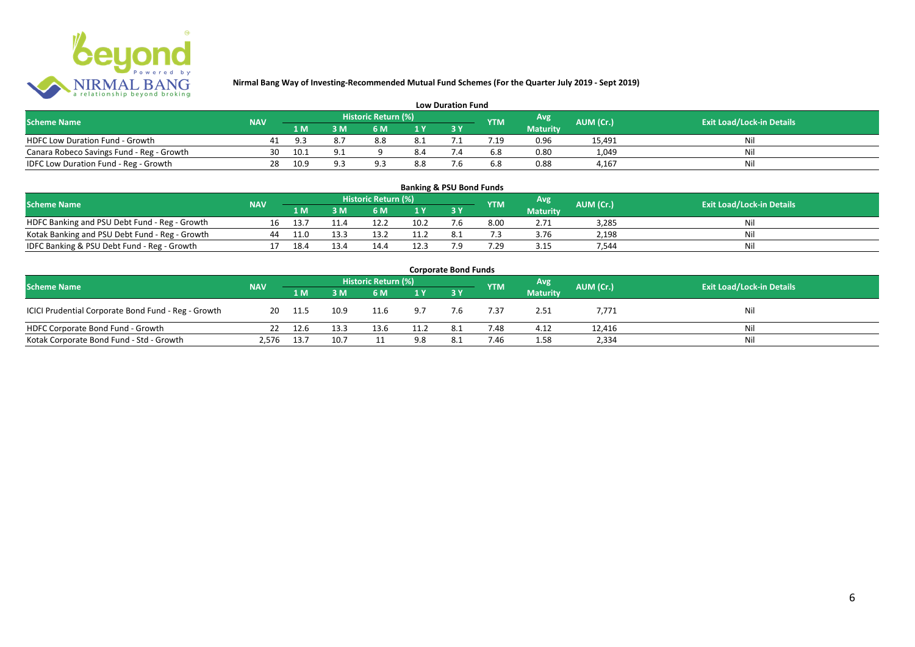

| <b>Low Duration Fund</b>                  |            |      |                |                     |     |  |            |                 |           |                                  |  |  |  |
|-------------------------------------------|------------|------|----------------|---------------------|-----|--|------------|-----------------|-----------|----------------------------------|--|--|--|
| <b>Scheme Name</b>                        | <b>NAV</b> |      |                | Historic Return (%) |     |  | <b>YTM</b> | Avg             | AUM (Cr.) | <b>Exit Load/Lock-in Details</b> |  |  |  |
|                                           |            | 1 M  |                | 6 M.                |     |  |            | <b>Maturity</b> |           |                                  |  |  |  |
| <b>HDFC Low Duration Fund - Growth</b>    |            |      |                | 8.8                 | 8.1 |  |            | 0.96            | 15,491    | Nli                              |  |  |  |
| Canara Robeco Savings Fund - Reg - Growth | 30         | 10.1 | Q <sub>1</sub> |                     | 8.4 |  | 6.8        | 0.80            | 1,049     | Ni                               |  |  |  |
| IDFC Low Duration Fund - Reg - Growth     | 28         | 10.9 | a a            |                     | 8.8 |  | 6.8        | 0.88            | 4.167     | Nli                              |  |  |  |

#### **1 M 3 M 6 M 1 Y 3 Y** NOFC Banking and PSU Debt Fund - Reg - Growth 16 13.7 11.4 12.2 10.2 7.6 8.00 2.71 3,285 Nil<br>
Kotak Banking and PSU Debt Fund - Reg - Growth 44 11.0 13.3 13.2 11.2 8.1 7.3 3.76 2,198 Nil Notak Banking and PSU Debt Fund - Reg - Growth <br>
13.4 13.3 13.2 11.2 8.1 7.3 3.76 2,198 11.9 2,198 Nil<br>
14.4 12.3 7.9 7.29 3.15 7,544 13.4 Nil IDFC Banking & PSU Debt Fund - Reg - Growth 17 18.4 13.4 14.4 12.3 7.9 7.29 3.15 7,544 **Banking & PSU Bond Funds Scheme Name NAV REGISTER AUM (Cr.) AUM (Cr.)** Exit Load/Lock-in Details **Historic Return (%) Maturity**

|                                                     |            |        |      |                     |      | <b>Corporate Bond Funds</b> |            |                 |           |                                  |
|-----------------------------------------------------|------------|--------|------|---------------------|------|-----------------------------|------------|-----------------|-----------|----------------------------------|
| <b>Scheme Name</b>                                  | <b>NAV</b> |        |      | Historic Return (%) |      |                             | <b>YTM</b> | Avg'            | AUM (Cr.) | <b>Exit Load/Lock-in Details</b> |
|                                                     |            | 1 M    | 3 M  | 6 M                 | 1Y   |                             |            | <b>Maturity</b> |           |                                  |
| ICICI Prudential Corporate Bond Fund - Reg - Growth | 20         | - 11.5 | 10.9 | 11.6                | 9.7  | 7.6                         | 7.37       | 2.51            | 7,771     | Nil                              |
| HDFC Corporate Bond Fund - Growth                   |            | 12.6   | 13.3 | 13.6                | 11.2 | -8.1                        | 7.48       | 4.12            | 12,416    | Ni                               |
| Kotak Corporate Bond Fund - Std - Growth            | 2,576      | 13.7   | 10.7 |                     | 9.8  | 8.1                         | 7.46       | 1.58            | 2,334     | Ni                               |